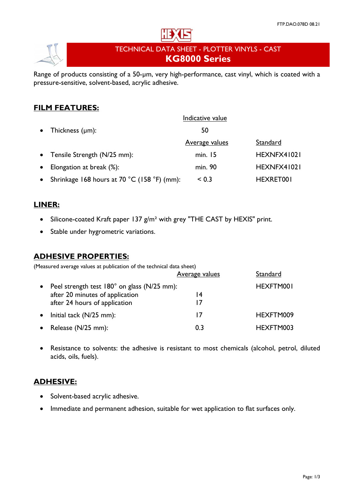



# TECHNICAL DATA SHEET - PLOTTER VINYLS - CAST **KG8000 Series**

Range of products consisting of a 50-µm, very high-performance, cast vinyl, which is coated with a pressure-sensitive, solvent-based, acrylic adhesive.

## **FILM FEATURES:**

|           |                                                                   | Indicative value      |             |
|-----------|-------------------------------------------------------------------|-----------------------|-------------|
|           | • Thickness $(\mu m)$ :                                           | 50                    |             |
|           |                                                                   | <u>Average values</u> | Standard    |
|           | • Tensile Strength (N/25 mm):                                     | min. 15               | HEXNFX41021 |
| $\bullet$ | Elongation at break (%):                                          | min. 90               | HEXNFX41021 |
|           | • Shrinkage 168 hours at 70 $^{\circ}$ C (158 $^{\circ}$ F) (mm): | < 0.3                 | HEXRET001   |

### **LINER:**

- Silicone-coated Kraft paper 137 g/m<sup>2</sup> with grey "THE CAST by HEXIS" print.
- Stable under hygrometric variations.

### **ADHESIVE PROPERTIES:**

(Measured average values at publication of the technical data sheet)

|           |                                             | Average values | Standard  |
|-----------|---------------------------------------------|----------------|-----------|
| $\bullet$ | Peel strength test 180° on glass (N/25 mm): |                | HEXFTM001 |
|           | after 20 minutes of application             | 14             |           |
|           | after 24 hours of application               | 17             |           |
| $\bullet$ | Initial tack $(N/25$ mm):                   | 17             | HEXFTM009 |
|           | • Release $(N/25$ mm):                      | 0.3            | HEXFTM003 |

• Resistance to solvents: the adhesive is resistant to most chemicals (alcohol, petrol, diluted acids, oils, fuels).

### **ADHESIVE:**

- Solvent-based acrylic adhesive.
- Immediate and permanent adhesion, suitable for wet application to flat surfaces only.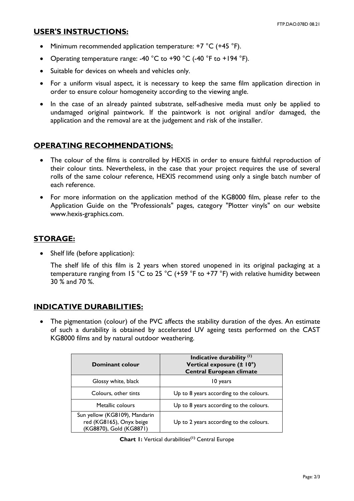#### **USER'S INSTRUCTIONS:**

- Minimum recommended application temperature: +7 °C (+45 °F).
- Operating temperature range: -40  $^{\circ}$ C to +90  $^{\circ}$ C (-40  $^{\circ}$ F to +194  $^{\circ}$ F).
- Suitable for devices on wheels and vehicles only.
- For a uniform visual aspect, it is necessary to keep the same film application direction in order to ensure colour homogeneity according to the viewing angle.
- In the case of an already painted substrate, self-adhesive media must only be applied to undamaged original paintwork. If the paintwork is not original and/or damaged, the application and the removal are at the judgement and risk of the installer.

#### **OPERATING RECOMMENDATIONS:**

- The colour of the films is controlled by HEXIS in order to ensure faithful reproduction of their colour tints. Nevertheless, in the case that your project requires the use of several rolls of the same colour reference, HEXIS recommend using only a single batch number of each reference.
- For more information on the application method of the KG8000 film, please refer to the Application Guide on the "Professionals" pages, category "Plotter vinyls" on our website www.hexis-graphics.com.

## **STORAGE:**

• Shelf life (before application):

The shelf life of this film is 2 years when stored unopened in its original packaging at a temperature ranging from 15 °C to 25 °C (+59 °F to +77 °F) with relative humidity between 30 % and 70 %.

### **INDICATIVE DURABILITIES:**

• The pigmentation (colour) of the PVC affects the stability duration of the dyes. An estimate of such a durability is obtained by accelerated UV ageing tests performed on the CAST KG8000 films and by natural outdoor weathering.

| Dominant colour                                                                      | Indicative durability (1)<br>Vertical exposure (± 10°)<br><b>Central European climate</b> |
|--------------------------------------------------------------------------------------|-------------------------------------------------------------------------------------------|
| Glossy white, black                                                                  | 10 years                                                                                  |
| Colours, other tints                                                                 | Up to 8 years according to the colours.                                                   |
| Metallic colours                                                                     | Up to 8 years according to the colours.                                                   |
| Sun yellow (KG8109), Mandarin<br>red (KG8165), Onyx beige<br>(KG8870), Gold (KG8871) | Up to 2 years according to the colours.                                                   |

**Chart 1:** Vertical durabilities**(1)** Central Europe